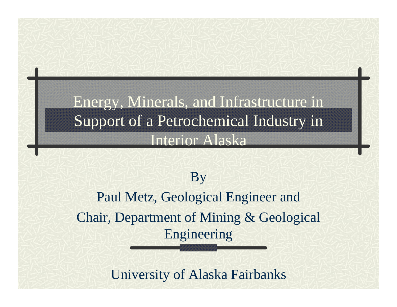#### Energy, Minerals, and Infrastructure in Support of a Petrochemical Industry in Interior Alaska

#### By

Paul Metz, Geological Engineer and Chair, Department of Mining & Geological Engineering

University of Alaska Fairbanks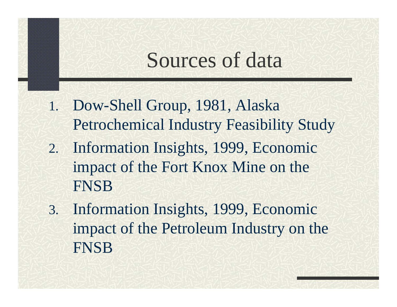## Sources of data

- 1. Dow-Shell Group, 1981, Alaska Petrochemical Industry Feasibility Study
- 2. Information Insights, 1999, Economic impact of the Fort Knox Mine on the FNSB
- 3. Information Insights, 1999, Economic impact of the Petroleum Industry on the FNSB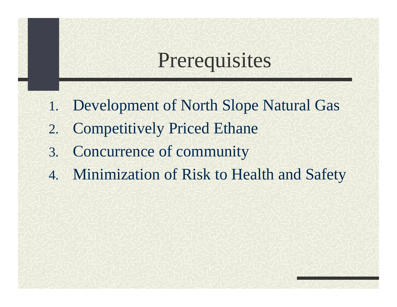## Prerequisites

- 1. Development of North Slope Natural Gas
- 2. Competitively Priced Ethane
- 3. Concurrence of community
- 4. Minimization of Risk to Health and Safety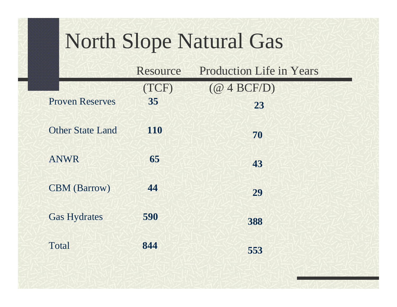## North Slope Natural Gas

|                         | Resource | <b>Production Life in Years</b> |
|-------------------------|----------|---------------------------------|
|                         | (TCF)    | $(\textcircled{a}$ 4 BCF/D)     |
| <b>Proven Reserves</b>  | 35       | 23                              |
| <b>Other State Land</b> | 110      | 70                              |
| <b>ANWR</b>             | 65       | 43                              |
| <b>CBM</b> (Barrow)     | 44       | 29                              |
| <b>Gas Hydrates</b>     | 590      | 388                             |
| Total                   | 844      | 553                             |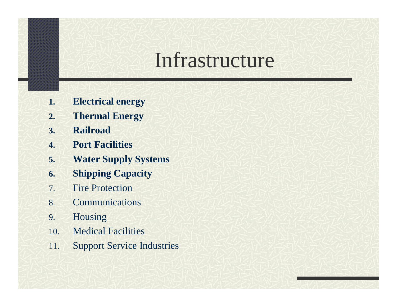### Infrastructure

- **1.Electrical energy**
- **2.Thermal Energy**
- **3.Railroad**
- **4.Port Facilities**
- **5.Water Supply Systems**
- **6.Shipping Capacity**
- 7.Fire Protection
- 8.Communications
- 9. Housing
- 10.Medical Facilities
- 11.Support Service Industries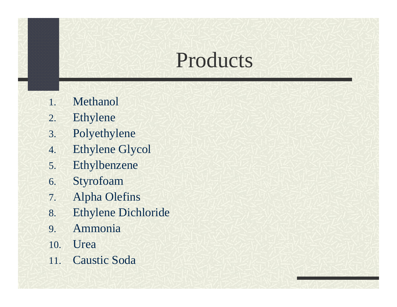## Products

- 1.Methanol
- 2.Ethylene
- 3. Polyethylene
- 4.Ethylene Glycol
- 5. Ethylbenzene
- 6. Styrofoam
- 7.Alpha Olefins
- 8. Ethylene Dichloride
- 9. Ammonia
- 10. Urea
- 11.Caustic Soda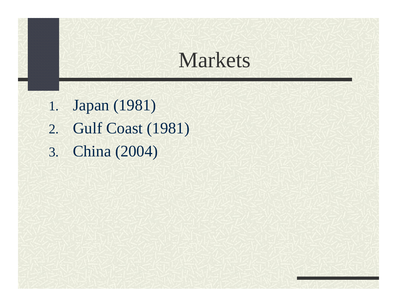### Markets

- 1. Japan (1981)
- 2. Gulf Coast (1981)
- 3. China (2004)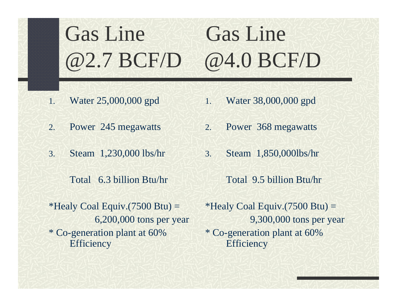## Gas Line Gas Line @2.7 BCF/D @4.0 BCF/D

- 1.Water 25,000,000 gpd
- 2.Power 245 megawatts
- 3. Steam 1,230,000 lbs/hr
	- Total 6.3 billion Btu/hr
- \*Healy Coal Equiv.(7500 Btu)  $=$ 6,200,000 tons per year \* Co-generation plant at 60% **Efficiency**
- 1.Water 38,000,000 gpd
- 2.Power 368 megawatts
- 3. Steam 1,850,000lbs/hr
	- Total 9.5 billion Btu/hr
- \*Healy Coal Equiv.(7500 Btu)  $=$ 9,300,000 tons per year \* Co-generation plant at 60% **Efficiency**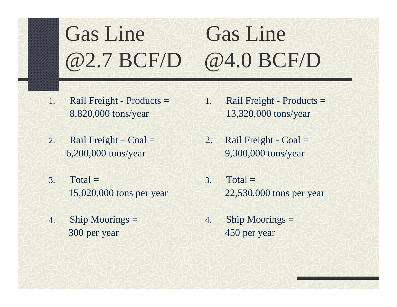#### Gas Line Gas Line @2.7 BCF/D @4.0 BCF/D

- 1. Rail Freight - Products = 8,820,000 tons/year
- 2.Rail Freight –  $Coal =$ 6,200,000 tons/year
- 3. $Total =$ 15,020,000 tons per year
- 4. Ship Moorings = 300 per year
- 1. Rail Freight - Products = 13,320,000 tons/year
- 2. Rail Freight Coal = 9,300,000 tons/year
- 3. Total =22,530,000 tons per year
- 4. Ship Moorings = 450 per year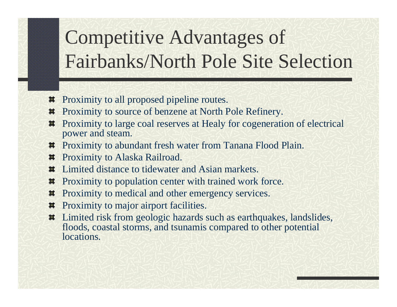## Competitive Advantages of Fairbanks/North Pole Site Selection

- Proximity to all proposed pipeline routes. 其
- Proximity to source of benzene at North Pole Refinery. 其
- Proximity to large coal reserves at Healy for cogeneration of electrical  $\blacksquare$ power and steam.
- $\#$  Proximity to abundant fresh water from Tanana Flood Plain.
- Proximity to Alaska Railroad. 其
- Limited distance to tidewater and Asian markets. 其
- Proximity to population center with trained work force. 其
- Proximity to medical and other emergency services. 其
- Proximity to major airport facilities. 其
- Limited risk from geologic hazards such as earthquakes, landslides, 其 floods, coastal storms, and tsunamis compared to other potential locations.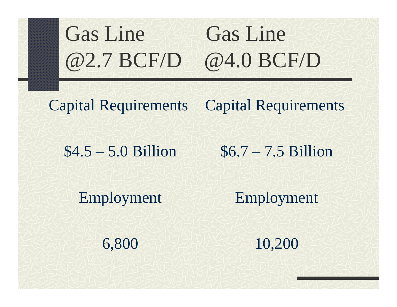# Gas Line Gas Line @2.7 BCF/D @4.0 BCF/D

Capital Requirements

Capital Requirements

\$4.5 – 5.0 Billion

\$6.7 – 7.5 Billion

Employment

Employment

6,800

10,200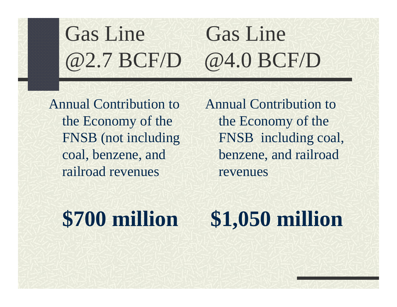## Gas Line Gas Line @2.7 BCF/D @4.0 BCF/D

Annual Contribution to the Economy of the FNSB (not including coal, benzene, and railroad revenues

Annual Contribution to the Economy of the FNSB including coal, benzene, and railroad revenues

### **\$700 million**

## **\$1,050 million**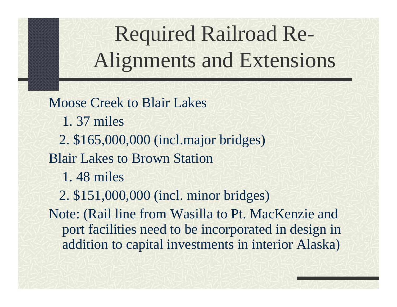Required Railroad Re-Alignments and Extensions

Moose Creek to Blair Lakes1. 37 miles2. \$165,000,000 (incl.major bridges) Blair Lakes to Brown Station1. 48 miles2. \$151,000,000 (incl. minor bridges) Note: (Rail line from Wasilla to Pt. MacKenzie and port facilities need to be incorporated in design in addition to capital investments in interior Alaska)